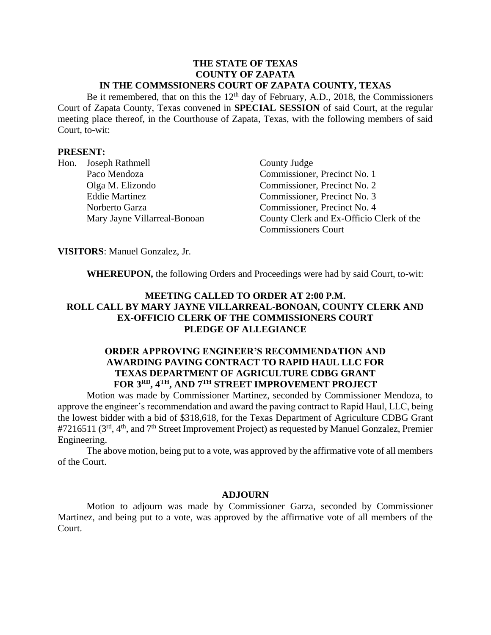#### **THE STATE OF TEXAS COUNTY OF ZAPATA IN THE COMMSSIONERS COURT OF ZAPATA COUNTY, TEXAS**

Be it remembered, that on this the  $12<sup>th</sup>$  day of February, A.D., 2018, the Commissioners Court of Zapata County, Texas convened in **SPECIAL SESSION** of said Court, at the regular meeting place thereof, in the Courthouse of Zapata, Texas, with the following members of said Court, to-wit:

### **PRESENT:**

|  | Hon. Joseph Rathmell         | County Judge                |
|--|------------------------------|-----------------------------|
|  | Paco Mendoza                 | Commissioner, P             |
|  | Olga M. Elizondo             | Commissioner, P             |
|  | <b>Eddie Martinez</b>        | Commissioner, P             |
|  | Norberto Garza               | Commissioner, Pr            |
|  | Mary Jayne Villarreal-Bonoan | County Clerk and            |
|  |                              | $\sim$ $\sim$ $\sim$ $\sim$ |

recinct No. 1 recinct No. 2 recinct No. 3 recinct No. 4 l Ex-Officio Clerk of the Commissioners Court

**VISITORS**: Manuel Gonzalez, Jr.

**WHEREUPON,** the following Orders and Proceedings were had by said Court, to-wit:

## **MEETING CALLED TO ORDER AT 2:00 P.M. ROLL CALL BY MARY JAYNE VILLARREAL-BONOAN, COUNTY CLERK AND EX-OFFICIO CLERK OF THE COMMISSIONERS COURT PLEDGE OF ALLEGIANCE**

# **ORDER APPROVING ENGINEER'S RECOMMENDATION AND AWARDING PAVING CONTRACT TO RAPID HAUL LLC FOR TEXAS DEPARTMENT OF AGRICULTURE CDBG GRANT FOR 3RD, 4TH, AND 7TH STREET IMPROVEMENT PROJECT**

Motion was made by Commissioner Martinez, seconded by Commissioner Mendoza, to approve the engineer's recommendation and award the paving contract to Rapid Haul, LLC, being the lowest bidder with a bid of \$318,618, for the Texas Department of Agriculture CDBG Grant #7216511 (3<sup>rd</sup>, 4<sup>th</sup>, and 7<sup>th</sup> Street Improvement Project) as requested by Manuel Gonzalez, Premier Engineering.

The above motion, being put to a vote, was approved by the affirmative vote of all members of the Court.

#### **ADJOURN**

Motion to adjourn was made by Commissioner Garza, seconded by Commissioner Martinez, and being put to a vote, was approved by the affirmative vote of all members of the Court.